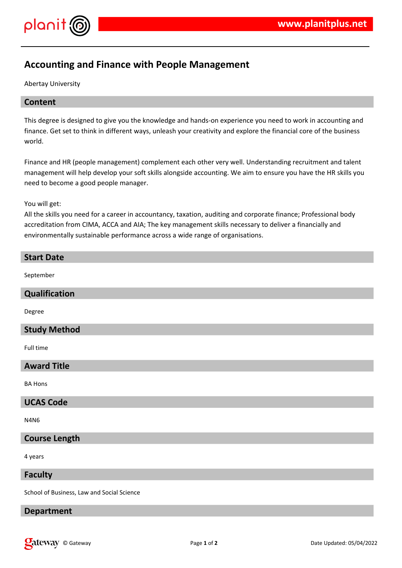

# **Accounting and Finance with People Management**

Abertay University

# **Content**

This degree is designed to give you the knowledge and hands-on experience you need to work in accounting and finance. Get set to think in different ways, unleash your creativity and explore the financial core of the business world.

Finance and HR (people management) complement each other very well. Understanding recruitment and talent management will help develop your soft skills alongside accounting. We aim to ensure you have the HR skills you need to become a good people manager.

You will get:

All the skills you need for a career in accountancy, taxation, auditing and corporate finance; Professional body accreditation from CIMA, ACCA and AIA; The key management skills necessary to deliver a financially and environmentally sustainable performance across a wide range of organisations.

| <b>Start Date</b>                          |
|--------------------------------------------|
| September                                  |
| Qualification                              |
| Degree                                     |
| <b>Study Method</b>                        |
| Full time                                  |
| <b>Award Title</b>                         |
| <b>BA Hons</b>                             |
| <b>UCAS Code</b>                           |
| <b>N4N6</b>                                |
| <b>Course Length</b>                       |
| 4 years                                    |
| <b>Faculty</b>                             |
| School of Business, Law and Social Science |

## **Department**